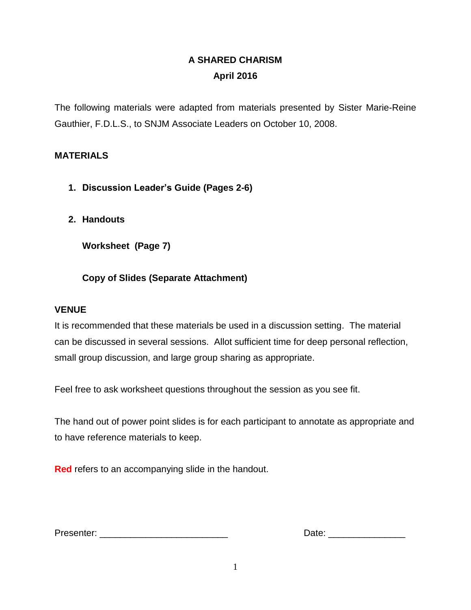# **A SHARED CHARISM April 2016**

The following materials were adapted from materials presented by Sister Marie-Reine Gauthier, F.D.L.S., to SNJM Associate Leaders on October 10, 2008.

# **MATERIALS**

- **1. Discussion Leader's Guide (Pages 2-6)**
- **2. Handouts**

**Worksheet (Page 7)**

# **Copy of Slides (Separate Attachment)**

## **VENUE**

It is recommended that these materials be used in a discussion setting. The material can be discussed in several sessions. Allot sufficient time for deep personal reflection, small group discussion, and large group sharing as appropriate.

Feel free to ask worksheet questions throughout the session as you see fit.

The hand out of power point slides is for each participant to annotate as appropriate and to have reference materials to keep.

**Red** refers to an accompanying slide in the handout.

| Presenter: |  |
|------------|--|
|------------|--|

Presenter: \_\_\_\_\_\_\_\_\_\_\_\_\_\_\_\_\_\_\_\_\_\_\_\_\_ Date: \_\_\_\_\_\_\_\_\_\_\_\_\_\_\_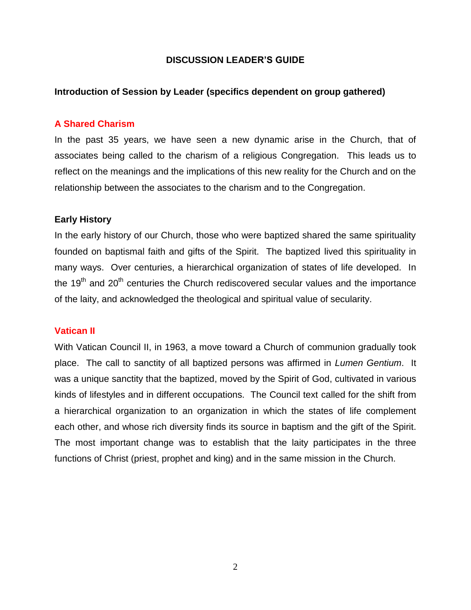#### **DISCUSSION LEADER'S GUIDE**

### **Introduction of Session by Leader (specifics dependent on group gathered)**

#### **A Shared Charism**

In the past 35 years, we have seen a new dynamic arise in the Church, that of associates being called to the charism of a religious Congregation. This leads us to reflect on the meanings and the implications of this new reality for the Church and on the relationship between the associates to the charism and to the Congregation.

#### **Early History**

In the early history of our Church, those who were baptized shared the same spirituality founded on baptismal faith and gifts of the Spirit. The baptized lived this spirituality in many ways. Over centuries, a hierarchical organization of states of life developed. In the  $19<sup>th</sup>$  and  $20<sup>th</sup>$  centuries the Church rediscovered secular values and the importance of the laity, and acknowledged the theological and spiritual value of secularity.

#### **Vatican II**

With Vatican Council II, in 1963, a move toward a Church of communion gradually took place. The call to sanctity of all baptized persons was affirmed in *Lumen Gentium*. It was a unique sanctity that the baptized, moved by the Spirit of God, cultivated in various kinds of lifestyles and in different occupations. The Council text called for the shift from a hierarchical organization to an organization in which the states of life complement each other, and whose rich diversity finds its source in baptism and the gift of the Spirit. The most important change was to establish that the laity participates in the three functions of Christ (priest, prophet and king) and in the same mission in the Church.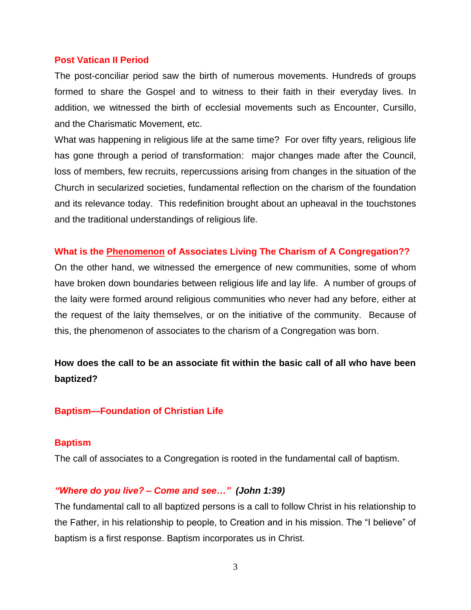#### **Post Vatican II Period**

The post-conciliar period saw the birth of numerous movements. Hundreds of groups formed to share the Gospel and to witness to their faith in their everyday lives. In addition, we witnessed the birth of ecclesial movements such as Encounter, Cursillo, and the Charismatic Movement, etc.

What was happening in religious life at the same time? For over fifty years, religious life has gone through a period of transformation: major changes made after the Council, loss of members, few recruits, repercussions arising from changes in the situation of the Church in secularized societies, fundamental reflection on the charism of the foundation and its relevance today. This redefinition brought about an upheaval in the touchstones and the traditional understandings of religious life.

### **What is the Phenomenon of Associates Living The Charism of A Congregation??**

On the other hand, we witnessed the emergence of new communities, some of whom have broken down boundaries between religious life and lay life. A number of groups of the laity were formed around religious communities who never had any before, either at the request of the laity themselves, or on the initiative of the community. Because of this, the phenomenon of associates to the charism of a Congregation was born.

# **How does the call to be an associate fit within the basic call of all who have been baptized?**

#### **Baptism—Foundation of Christian Life**

#### **Baptism**

The call of associates to a Congregation is rooted in the fundamental call of baptism.

#### *"Where do you live? – Come and see…" (John 1:39)*

The fundamental call to all baptized persons is a call to follow Christ in his relationship to the Father, in his relationship to people, to Creation and in his mission. The "I believe" of baptism is a first response. Baptism incorporates us in Christ.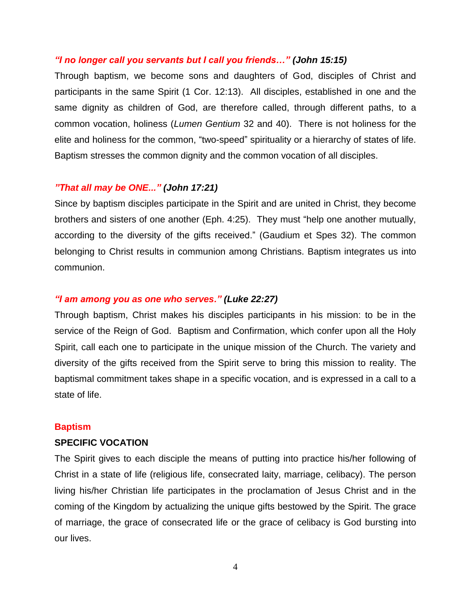#### *"I no longer call you servants but I call you friends…" (John 15:15)*

Through baptism, we become sons and daughters of God, disciples of Christ and participants in the same Spirit (1 Cor. 12:13). All disciples, established in one and the same dignity as children of God, are therefore called, through different paths, to a common vocation, holiness (*Lumen Gentium* 32 and 40). There is not holiness for the elite and holiness for the common, "two-speed" spirituality or a hierarchy of states of life. Baptism stresses the common dignity and the common vocation of all disciples.

#### *"That all may be ONE..." (John 17:21)*

Since by baptism disciples participate in the Spirit and are united in Christ, they become brothers and sisters of one another (Eph. 4:25). They must "help one another mutually, according to the diversity of the gifts received." (Gaudium et Spes 32). The common belonging to Christ results in communion among Christians. Baptism integrates us into communion.

#### *"I am among you as one who serves." (Luke 22:27)*

Through baptism, Christ makes his disciples participants in his mission: to be in the service of the Reign of God. Baptism and Confirmation, which confer upon all the Holy Spirit, call each one to participate in the unique mission of the Church. The variety and diversity of the gifts received from the Spirit serve to bring this mission to reality. The baptismal commitment takes shape in a specific vocation, and is expressed in a call to a state of life.

#### **Baptism**

#### **SPECIFIC VOCATION**

The Spirit gives to each disciple the means of putting into practice his/her following of Christ in a state of life (religious life, consecrated laity, marriage, celibacy). The person living his/her Christian life participates in the proclamation of Jesus Christ and in the coming of the Kingdom by actualizing the unique gifts bestowed by the Spirit. The grace of marriage, the grace of consecrated life or the grace of celibacy is God bursting into our lives.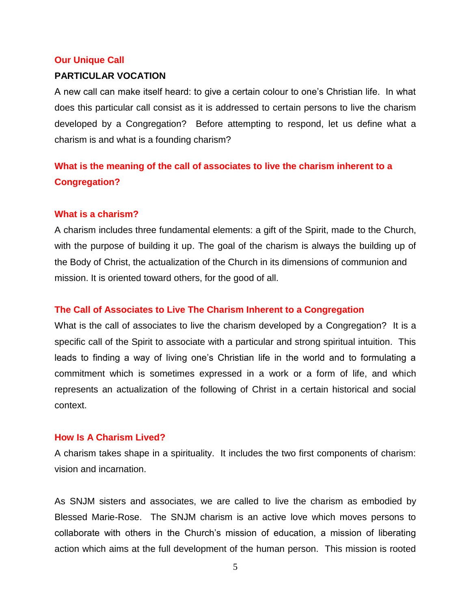#### **Our Unique Call**

#### **PARTICULAR VOCATION**

A new call can make itself heard: to give a certain colour to one's Christian life. In what does this particular call consist as it is addressed to certain persons to live the charism developed by a Congregation? Before attempting to respond, let us define what a charism is and what is a founding charism?

# **What is the meaning of the call of associates to live the charism inherent to a Congregation?**

#### **What is a charism?**

A charism includes three fundamental elements: a gift of the Spirit, made to the Church, with the purpose of building it up. The goal of the charism is always the building up of the Body of Christ, the actualization of the Church in its dimensions of communion and mission. It is oriented toward others, for the good of all.

#### **The Call of Associates to Live The Charism Inherent to a Congregation**

What is the call of associates to live the charism developed by a Congregation? It is a specific call of the Spirit to associate with a particular and strong spiritual intuition. This leads to finding a way of living one's Christian life in the world and to formulating a commitment which is sometimes expressed in a work or a form of life, and which represents an actualization of the following of Christ in a certain historical and social context.

#### **How Is A Charism Lived?**

A charism takes shape in a spirituality. It includes the two first components of charism: vision and incarnation.

As SNJM sisters and associates, we are called to live the charism as embodied by Blessed Marie-Rose. The SNJM charism is an active love which moves persons to collaborate with others in the Church's mission of education, a mission of liberating action which aims at the full development of the human person. This mission is rooted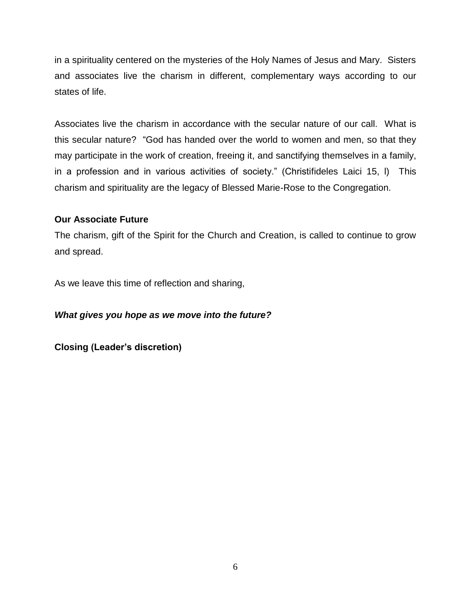in a spirituality centered on the mysteries of the Holy Names of Jesus and Mary. Sisters and associates live the charism in different, complementary ways according to our states of life.

Associates live the charism in accordance with the secular nature of our call. What is this secular nature? "God has handed over the world to women and men, so that they may participate in the work of creation, freeing it, and sanctifying themselves in a family, in a profession and in various activities of society." (Christifideles Laici 15, l) This charism and spirituality are the legacy of Blessed Marie-Rose to the Congregation.

## **Our Associate Future**

The charism, gift of the Spirit for the Church and Creation, is called to continue to grow and spread.

As we leave this time of reflection and sharing,

## *What gives you hope as we move into the future?*

**Closing (Leader's discretion)**